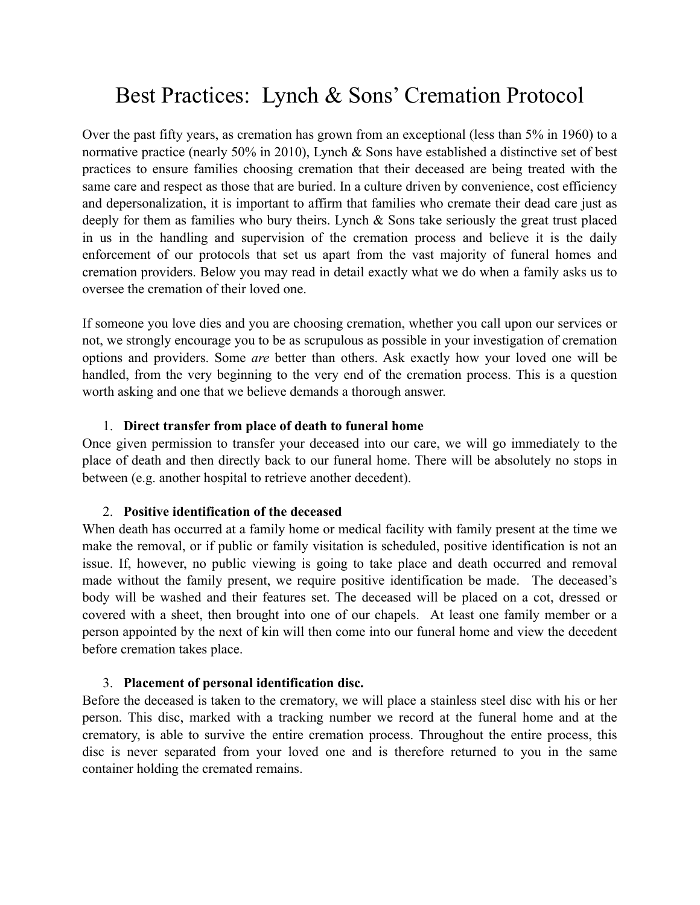# Best Practices: Lynch & Sons' Cremation Protocol

Over the past fifty years, as cremation has grown from an exceptional (less than 5% in 1960) to a normative practice (nearly 50% in 2010), Lynch & Sons have established a distinctive set of best practices to ensure families choosing cremation that their deceased are being treated with the same care and respect as those that are buried. In a culture driven by convenience, cost efficiency and depersonalization, it is important to affirm that families who cremate their dead care just as deeply for them as families who bury theirs. Lynch & Sons take seriously the great trust placed in us in the handling and supervision of the cremation process and believe it is the daily enforcement of our protocols that set us apart from the vast majority of funeral homes and cremation providers. Below you may read in detail exactly what we do when a family asks us to oversee the cremation of their loved one.

If someone you love dies and you are choosing cremation, whether you call upon our services or not, we strongly encourage you to be as scrupulous as possible in your investigation of cremation options and providers. Some *are* better than others. Ask exactly how your loved one will be handled, from the very beginning to the very end of the cremation process. This is a question worth asking and one that we believe demands a thorough answer.

## 1. **Direct transfer from place of death to funeral home**

Once given permission to transfer your deceased into our care, we will go immediately to the place of death and then directly back to our funeral home. There will be absolutely no stops in between (e.g. another hospital to retrieve another decedent).

## 2. **Positive identification of the deceased**

When death has occurred at a family home or medical facility with family present at the time we make the removal, or if public or family visitation is scheduled, positive identification is not an issue. If, however, no public viewing is going to take place and death occurred and removal made without the family present, we require positive identification be made. The deceased's body will be washed and their features set. The deceased will be placed on a cot, dressed or covered with a sheet, then brought into one of our chapels. At least one family member or a person appointed by the next of kin will then come into our funeral home and view the decedent before cremation takes place.

## 3. **Placement of personal identification disc.**

Before the deceased is taken to the crematory, we will place a stainless steel disc with his or her person. This disc, marked with a tracking number we record at the funeral home and at the crematory, is able to survive the entire cremation process. Throughout the entire process, this disc is never separated from your loved one and is therefore returned to you in the same container holding the cremated remains.